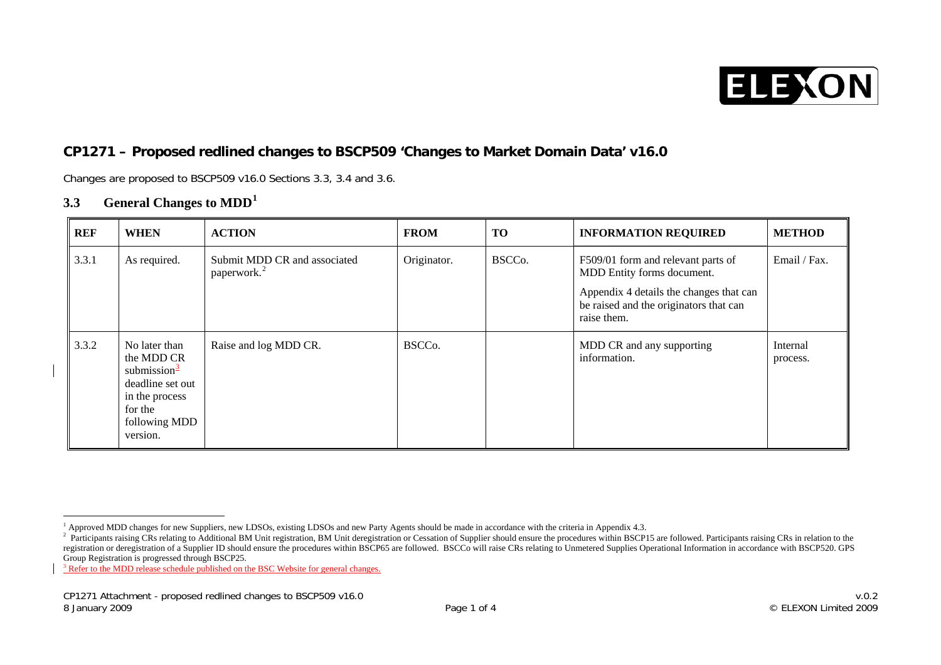

# **CP1271 – Proposed redlined changes to BSCP509 'Changes to Market Domain Data' v16.0**

Changes are proposed to BSCP509 v16.0 Sections 3.3, 3.4 and 3.6.

## **3.3General Changes to MDD[1](#page-0-0)**

| <b>REF</b> | <b>WHEN</b>                                                                                                                           | <b>ACTION</b>                                           | <b>FROM</b>         | <b>TO</b>           | <b>INFORMATION REQUIRED</b>                                                                                                                                          | <b>METHOD</b>        |
|------------|---------------------------------------------------------------------------------------------------------------------------------------|---------------------------------------------------------|---------------------|---------------------|----------------------------------------------------------------------------------------------------------------------------------------------------------------------|----------------------|
| 3.3.1      | As required.                                                                                                                          | Submit MDD CR and associated<br>paperwork. <sup>2</sup> | Originator.         | BSCC <sub>o</sub> . | F509/01 form and relevant parts of<br>MDD Entity forms document.<br>Appendix 4 details the changes that can<br>be raised and the originators that can<br>raise them. | Email / Fax.         |
| 3.3.2      | No later than<br>the MDD CR<br>submission $\frac{3}{2}$<br>deadline set out<br>in the process<br>for the<br>following MDD<br>version. | Raise and log MDD CR.                                   | BSCC <sub>0</sub> . |                     | MDD CR and any supporting<br>information.                                                                                                                            | Internal<br>process. |

<sup>&</sup>lt;sup>1</sup> Approved MDD changes for new Suppliers, new LDSOs, existing LDSOs and new Party Agents should be made in accordance with the criteria in Appendix 4.3.

<span id="page-0-1"></span><span id="page-0-0"></span><sup>&</sup>lt;sup>2</sup> Participants raising CRs relating to Additional BM Unit registration, BM Unit deregistration or Cessation of Supplier should ensure the procedures within BSCP15 are followed. Participants raising CRs in relation to the registration or deregistration of a Supplier ID should ensure the procedures within BSCP65 are followed. BSCCo will raise CRs relating to Unmetered Supplies Operational Information in accordance with BSCP520. GPS Group Registration is progressed through BSCP25.

<span id="page-0-2"></span><sup>&</sup>lt;sup>3</sup> Refer to the MDD release schedule published on the BSC Website for general changes.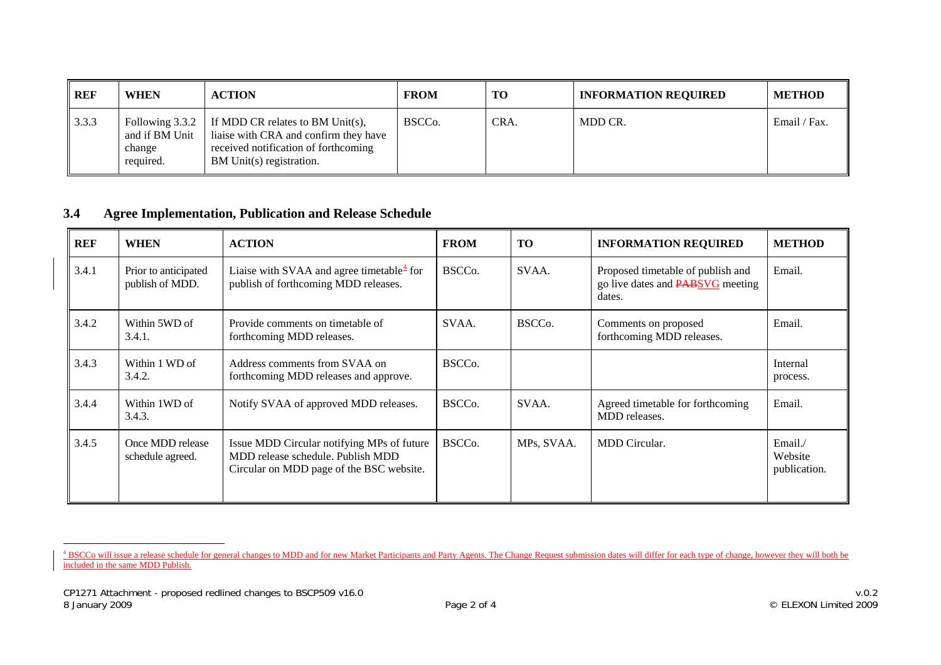| REF   | <b>WHEN</b>                                                | <b>ACTION</b>                                                                                                                                 | <b>FROM</b>         | <b>TO</b> | <b>INFORMATION REQUIRED</b> | <b>METHOD</b> |
|-------|------------------------------------------------------------|-----------------------------------------------------------------------------------------------------------------------------------------------|---------------------|-----------|-----------------------------|---------------|
| 3.3.3 | Following $3.3.2$<br>and if BM Unit<br>change<br>required. | If MDD CR relates to BM Unit(s),<br>liaise with CRA and confirm they have<br>received notification of forthcoming<br>BM Unit(s) registration. | BSCC <sub>0</sub> . | CRA.      | MDD CR.                     | Email / Fax.  |

#### **3.4Agree Implementation, Publication and Release Schedule**

| <b>REF</b> | <b>WHEN</b>                             | <b>ACTION</b>                                                                                                               | <b>FROM</b>         | <b>TO</b>           | <b>INFORMATION REQUIRED</b>                                                            | <b>METHOD</b>                     |
|------------|-----------------------------------------|-----------------------------------------------------------------------------------------------------------------------------|---------------------|---------------------|----------------------------------------------------------------------------------------|-----------------------------------|
| 3.4.1      | Prior to anticipated<br>publish of MDD. | Liaise with SVAA and agree timetable $\frac{4}{3}$ for<br>publish of forthcoming MDD releases.                              | BSCC <sub>o</sub> . | SVAA.               | Proposed timetable of publish and<br>go live dates and <b>PABSVG</b> meeting<br>dates. | Email.                            |
| 3.4.2      | Within 5WD of<br>3.4.1.                 | Provide comments on timetable of<br>forthcoming MDD releases.                                                               | SVAA.               | BSCC <sub>0</sub> . | Comments on proposed<br>forthcoming MDD releases.                                      | Email.                            |
| 3.4.3      | Within 1 WD of<br>3.4.2.                | Address comments from SVAA on<br>forthcoming MDD releases and approve.                                                      | BSCC <sub>o</sub> . |                     |                                                                                        | Internal<br>process.              |
| 3.4.4      | Within 1WD of<br>3.4.3.                 | Notify SVAA of approved MDD releases.                                                                                       | BSCC <sub>o</sub> . | SVAA.               | Agreed timetable for forthcoming<br>MDD releases.                                      | Email.                            |
| 3.4.5      | Once MDD release<br>schedule agreed.    | Issue MDD Circular notifying MPs of future<br>MDD release schedule. Publish MDD<br>Circular on MDD page of the BSC website. | BSCC <sub>o</sub> . | MPs, SVAA.          | <b>MDD</b> Circular.                                                                   | Email.<br>Website<br>publication. |

<span id="page-1-0"></span><sup>&</sup>lt;sup>4</sup> BSCCo will issue a release schedule for general changes to MDD and for new Market Participants and Party Agents. The Change Request submission dates will differ for each type of change, however they will both be included in the same MDD Publish.